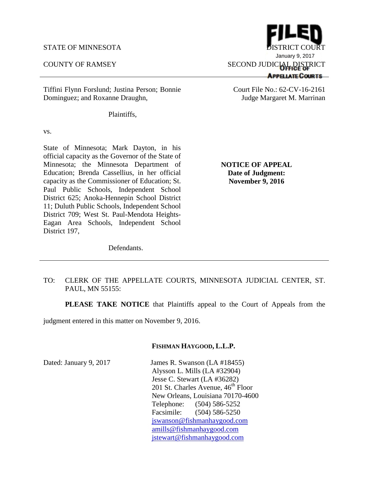Tiffini Flynn Forslund; Justina Person; Bonnie Dominguez; and Roxanne Draughn,

Plaintiffs,

vs.

State of Minnesota; Mark Dayton, in his official capacity as the Governor of the State of Minnesota; the Minnesota Department of Education; Brenda Cassellius, in her official capacity as the Commissioner of Education; St. Paul Public Schools, Independent School District 625; Anoka-Hennepin School District 11; Duluth Public Schools, Independent School District 709; West St. Paul-Mendota Heights-Eagan Area Schools, Independent School District 197,

**Date of Judgment: November 9, 2016**

**NOTICE OF APPEAL**

Defendants.

## TO: CLERK OF THE APPELLATE COURTS, MINNESOTA JUDICIAL CENTER, ST. PAUL, MN 55155:

**PLEASE TAKE NOTICE** that Plaintiffs appeal to the Court of Appeals from the

judgment entered in this matter on November 9, 2016.

## **FISHMAN HAYGOOD, L.L.P.**

Dated: January 9, 2017 James R. Swanson (LA #18455) Alysson L. Mills (LA #32904) Jesse C. Stewart (LA #36282) 201 St. Charles Avenue,  $46<sup>th</sup>$  Floor New Orleans, Louisiana 70170-4600 Telephone: (504) 586-5252 Facsimile: (504) 586-5250 jswanson@fishmanhaygood.com amills@fishmanhaygood.com jstewart@fishmanhaygood.com

STATE OF MINNESOTA DISTRICT COURT January 9, 2017COUNTY OF RAMSEY SECOND JUDICIAL DISTRICT **APPELATE COURTS** 

> Court File No.: 62-CV-16-2161 Judge Margaret M. Marrinan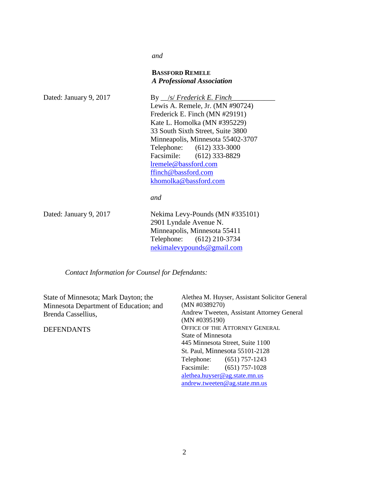*and*

## **BASSFORD REMELE** *A Professional Association*

| Dated: January 9, 2017 | By <u>S/ Frederick E. Finch</u>   |
|------------------------|-----------------------------------|
|                        | Lewis A. Remele, Jr. (MN #90724)  |
|                        | Frederick E. Finch (MN #29191)    |
|                        | Kate L. Homolka (MN #395229)      |
|                        | 33 South Sixth Street, Suite 3800 |
|                        | Minneapolis, Minnesota 55402-3707 |
|                        | Telephone: (612) 333-3000         |
|                        | Facsimile: (612) 333-8829         |
|                        | lremele@bassford.com              |
|                        | ffinch@bassford.com               |
|                        | khomolka@bassford.com             |
|                        | and                               |
|                        |                                   |
| Dated: January 9, 2017 | Nekima Levy-Pounds (MN #335101)   |
|                        | 2901 Lyndale Avenue N.            |
|                        | Minneapolis, Minnesota 55411      |
|                        | Telephone: (612) 210-3734         |
|                        | nekimalevypounds@gmail.com        |

*Contact Information for Counsel for Defendants:*

| State of Minnesota; Mark Dayton; the                         | Alethea M. Huyser, Assistant Solicitor General              |
|--------------------------------------------------------------|-------------------------------------------------------------|
| Minnesota Department of Education; and<br>Brenda Cassellius, | (MN #0389270)                                               |
|                                                              | Andrew Tweeten, Assistant Attorney General<br>(MN #0395190) |
| <b>DEFENDANTS</b>                                            | OFFICE OF THE ATTORNEY GENERAL                              |
|                                                              | State of Minnesota                                          |
|                                                              | 445 Minnesota Street, Suite 1100                            |
|                                                              | St. Paul, Minnesota 55101-2128                              |
|                                                              | Telephone: (651) 757-1243                                   |
|                                                              | $(651)$ 757-1028<br>Facsimile:                              |
|                                                              | alethea.huyser@ag.state.mn.us                               |
|                                                              | $and$ rew.tweeten@ag.state.mn.us                            |